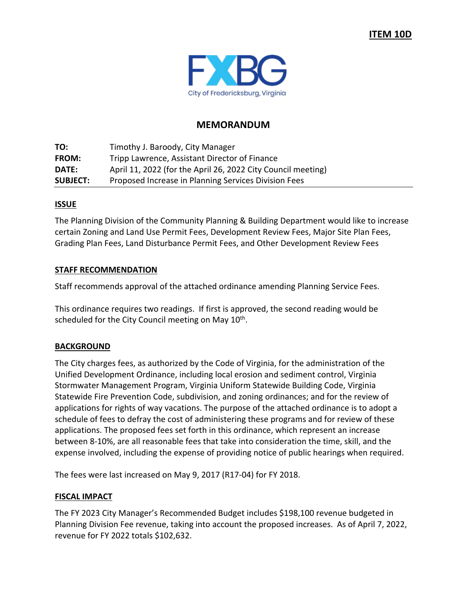

# **MEMORANDUM**

**TO:** Timothy J. Baroody, City Manager **FROM:** Tripp Lawrence, Assistant Director of Finance **DATE:** April 11, 2022 (for the April 26, 2022 City Council meeting) **SUBJECT:** Proposed Increase in Planning Services Division Fees

## **ISSUE**

The Planning Division of the Community Planning & Building Department would like to increase certain Zoning and Land Use Permit Fees, Development Review Fees, Major Site Plan Fees, Grading Plan Fees, Land Disturbance Permit Fees, and Other Development Review Fees

## **STAFF RECOMMENDATION**

Staff recommends approval of the attached ordinance amending Planning Service Fees.

This ordinance requires two readings. If first is approved, the second reading would be scheduled for the City Council meeting on May  $10<sup>th</sup>$ .

### **BACKGROUND**

The City charges fees, as authorized by the Code of Virginia, for the administration of the Unified Development Ordinance, including local erosion and sediment control, Virginia Stormwater Management Program, Virginia Uniform Statewide Building Code, Virginia Statewide Fire Prevention Code, subdivision, and zoning ordinances; and for the review of applications for rights of way vacations. The purpose of the attached ordinance is to adopt a schedule of fees to defray the cost of administering these programs and for review of these applications. The proposed fees set forth in this ordinance, which represent an increase between 8-10%, are all reasonable fees that take into consideration the time, skill, and the expense involved, including the expense of providing notice of public hearings when required.

The fees were last increased on May 9, 2017 (R17-04) for FY 2018.

### **FISCAL IMPACT**

The FY 2023 City Manager's Recommended Budget includes \$198,100 revenue budgeted in Planning Division Fee revenue, taking into account the proposed increases. As of April 7, 2022, revenue for FY 2022 totals \$102,632.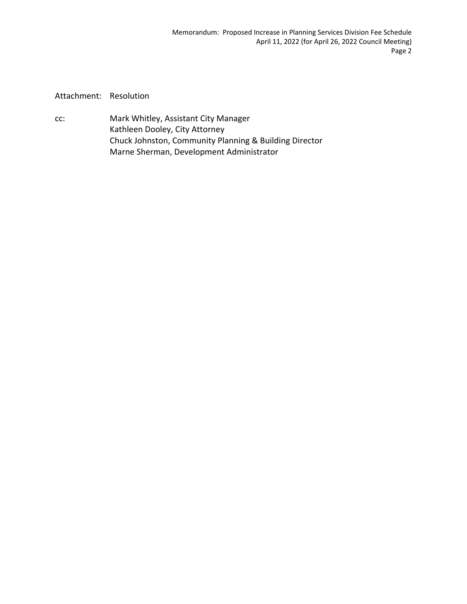Attachment: Resolution

cc: Mark Whitley, Assistant City Manager Kathleen Dooley, City Attorney Chuck Johnston, Community Planning & Building Director Marne Sherman, Development Administrator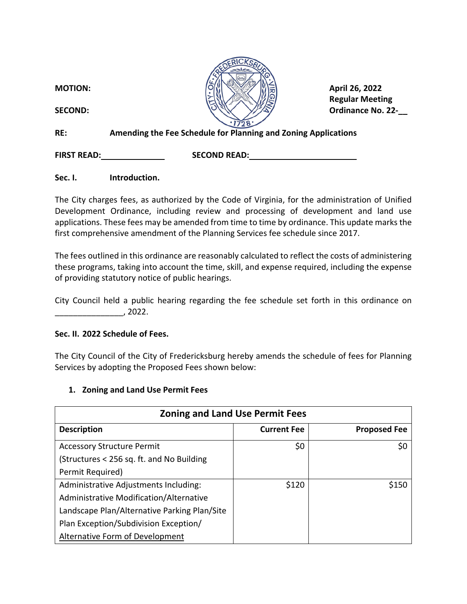| <b>MOTION:</b>     | April 26, 2022                                                 |
|--------------------|----------------------------------------------------------------|
| <b>SECOND:</b>     | <b>Regular Meeting</b><br><b>Ordinance No. 22-</b>             |
|                    |                                                                |
| RE:                | Amending the Fee Schedule for Planning and Zoning Applications |
| <b>FIRST READ:</b> | <b>SECOND READ:</b>                                            |

**Sec. I. Introduction.**

The City charges fees, as authorized by the Code of Virginia, for the administration of Unified Development Ordinance, including review and processing of development and land use applications. These fees may be amended from time to time by ordinance. This update marks the first comprehensive amendment of the Planning Services fee schedule since 2017.

The fees outlined in this ordinance are reasonably calculated to reflect the costs of administering these programs, taking into account the time, skill, and expense required, including the expense of providing statutory notice of public hearings.

City Council held a public hearing regarding the fee schedule set forth in this ordinance on  $, 2022.$ 

# **Sec. II. 2022 Schedule of Fees.**

The City Council of the City of Fredericksburg hereby amends the schedule of fees for Planning Services by adopting the Proposed Fees shown below:

# **1. Zoning and Land Use Permit Fees**

| <b>Zoning and Land Use Permit Fees</b>       |                    |                     |
|----------------------------------------------|--------------------|---------------------|
| <b>Description</b>                           | <b>Current Fee</b> | <b>Proposed Fee</b> |
| <b>Accessory Structure Permit</b>            | \$0                | \$0                 |
| (Structures < 256 sq. ft. and No Building)   |                    |                     |
| Permit Required)                             |                    |                     |
| Administrative Adjustments Including:        | \$120              | \$150               |
| Administrative Modification/Alternative      |                    |                     |
| Landscape Plan/Alternative Parking Plan/Site |                    |                     |
| Plan Exception/Subdivision Exception/        |                    |                     |
| <b>Alternative Form of Development</b>       |                    |                     |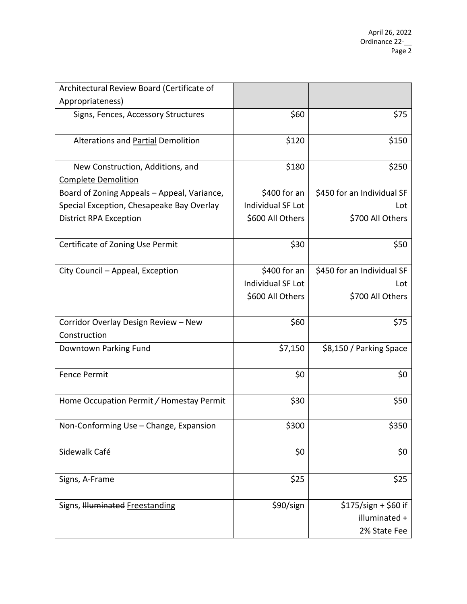| Architectural Review Board (Certificate of  |                          |                            |
|---------------------------------------------|--------------------------|----------------------------|
| Appropriateness)                            |                          |                            |
| Signs, Fences, Accessory Structures         | \$60                     | \$75                       |
| Alterations and Partial Demolition          | \$120                    | \$150                      |
| New Construction, Additions, and            | \$180                    | \$250                      |
| <b>Complete Demolition</b>                  |                          |                            |
| Board of Zoning Appeals – Appeal, Variance, | $$400$ for an            | \$450 for an Individual SF |
| Special Exception, Chesapeake Bay Overlay   | Individual SF Lot        | Lot                        |
| <b>District RPA Exception</b>               | \$600 All Others         | \$700 All Others           |
| Certificate of Zoning Use Permit            | \$30                     | \$50                       |
| City Council - Appeal, Exception            | $$400$ for an            | \$450 for an Individual SF |
|                                             | <b>Individual SF Lot</b> | Lot                        |
|                                             | \$600 All Others         | \$700 All Others           |
| Corridor Overlay Design Review - New        | \$60                     | \$75                       |
| Construction                                |                          |                            |
| Downtown Parking Fund                       | \$7,150                  | \$8,150 / Parking Space    |
| <b>Fence Permit</b>                         | \$0                      | \$0                        |
| Home Occupation Permit / Homestay Permit    | \$30                     | \$50                       |
| Non-Conforming Use - Change, Expansion      | \$300                    | \$350                      |
| Sidewalk Café                               | \$0                      | \$0                        |
| Signs, A-Frame                              | \$25                     | \$25                       |
| Signs, Illuminated Freestanding             | \$90/sign                | $$175/sign + $60 if$       |
|                                             |                          | illuminated +              |
|                                             |                          | 2% State Fee               |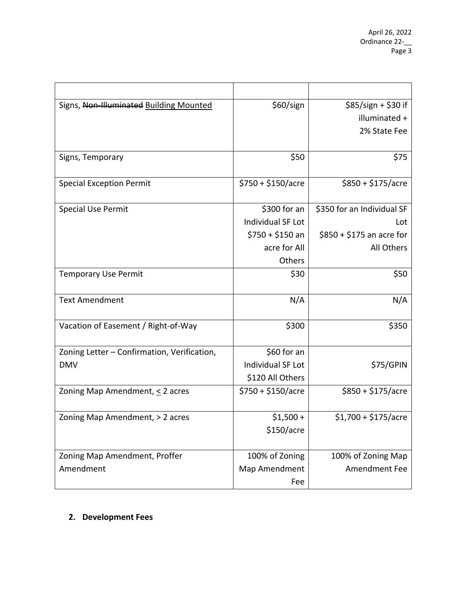| Signs, Non Illuminated Building Mounted     | \$60/sign           | $$85/sign + $30 if$        |
|---------------------------------------------|---------------------|----------------------------|
|                                             |                     | illuminated +              |
|                                             |                     | 2% State Fee               |
| Signs, Temporary                            | \$50                | \$75                       |
|                                             |                     |                            |
| <b>Special Exception Permit</b>             | $$750 + $150/$ acre | $$850 + $175/$ acre        |
| Special Use Permit                          | \$300 for an        | \$350 for an Individual SF |
|                                             | Individual SF Lot   | Lot                        |
|                                             | $$750 + $150$ an    | $$850 + $175$ an acre for  |
|                                             | acre for All        | All Others                 |
|                                             | Others              |                            |
| <b>Temporary Use Permit</b>                 | \$30                | \$50                       |
| <b>Text Amendment</b>                       | N/A                 | N/A                        |
| Vacation of Easement / Right-of-Way         | \$300               | \$350                      |
| Zoning Letter - Confirmation, Verification, | \$60 for an         |                            |
| <b>DMV</b>                                  | Individual SF Lot   | \$75/GPIN                  |
|                                             | \$120 All Others    |                            |
| Zoning Map Amendment, $\leq$ 2 acres        | $$750 + $150/$ acre | $$850 + $175/$ acre        |
| Zoning Map Amendment, > 2 acres             | $$1,500 +$          | $$1,700 + $175/$ acre      |
|                                             | \$150/acre          |                            |
|                                             |                     |                            |
| Zoning Map Amendment, Proffer               | 100% of Zoning      | 100% of Zoning Map         |
| Amendment                                   | Map Amendment       | Amendment Fee              |
|                                             | Fee                 |                            |

# **2. Development Fees**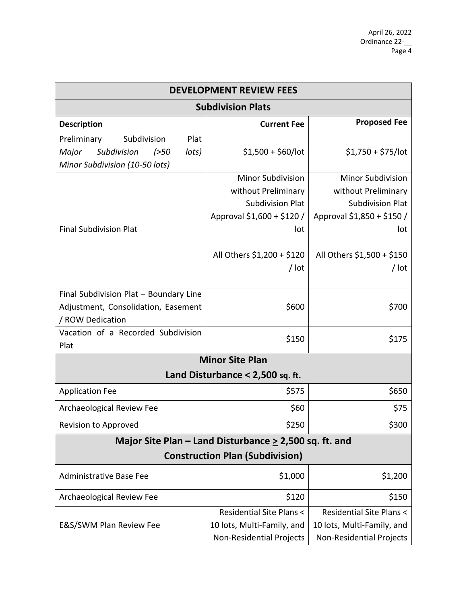| <b>DEVELOPMENT REVIEW FEES</b>                                                                                  |                                                                                                                                                          |                                                                                                                                                        |  |
|-----------------------------------------------------------------------------------------------------------------|----------------------------------------------------------------------------------------------------------------------------------------------------------|--------------------------------------------------------------------------------------------------------------------------------------------------------|--|
| <b>Subdivision Plats</b>                                                                                        |                                                                                                                                                          |                                                                                                                                                        |  |
| <b>Description</b>                                                                                              | <b>Current Fee</b>                                                                                                                                       | <b>Proposed Fee</b>                                                                                                                                    |  |
| Plat<br>Preliminary<br>Subdivision<br>Subdivision<br>Major<br>lots)<br>( >50)<br>Minor Subdivision (10-50 lots) | $$1,500 + $60/$ lot                                                                                                                                      | $$1,750 + $75/$ lot                                                                                                                                    |  |
| <b>Final Subdivision Plat</b>                                                                                   | <b>Minor Subdivision</b><br>without Preliminary<br><b>Subdivision Plat</b><br>Approval \$1,600 + \$120 /<br>lot<br>All Others \$1,200 + \$120<br>$/$ lot | <b>Minor Subdivision</b><br>without Preliminary<br><b>Subdivision Plat</b><br>Approval \$1,850 + \$150 /<br>lot<br>All Others \$1,500 + \$150<br>/ lot |  |
| Final Subdivision Plat - Boundary Line<br>Adjustment, Consolidation, Easement<br>/ ROW Dedication               | \$600                                                                                                                                                    | \$700                                                                                                                                                  |  |
| Vacation of a Recorded Subdivision<br>Plat                                                                      | \$150                                                                                                                                                    | \$175                                                                                                                                                  |  |
| <b>Minor Site Plan</b>                                                                                          |                                                                                                                                                          |                                                                                                                                                        |  |
|                                                                                                                 | Land Disturbance $< 2,500$ sq. ft.                                                                                                                       |                                                                                                                                                        |  |
| <b>Application Fee</b>                                                                                          | \$575                                                                                                                                                    | \$650                                                                                                                                                  |  |
| Archaeological Review Fee                                                                                       | \$60                                                                                                                                                     | \$75                                                                                                                                                   |  |
| Revision to Approved                                                                                            | \$250                                                                                                                                                    | \$300                                                                                                                                                  |  |
| Major Site Plan – Land Disturbance $\geq$ 2,500 sq. ft. and                                                     |                                                                                                                                                          |                                                                                                                                                        |  |
| <b>Construction Plan (Subdivision)</b>                                                                          |                                                                                                                                                          |                                                                                                                                                        |  |
| <b>Administrative Base Fee</b>                                                                                  | \$1,000                                                                                                                                                  | \$1,200                                                                                                                                                |  |
| Archaeological Review Fee                                                                                       | \$120                                                                                                                                                    | \$150                                                                                                                                                  |  |
| E&S/SWM Plan Review Fee                                                                                         | Residential Site Plans <<br>10 lots, Multi-Family, and<br>Non-Residential Projects                                                                       | <b>Residential Site Plans &lt;</b><br>10 lots, Multi-Family, and<br>Non-Residential Projects                                                           |  |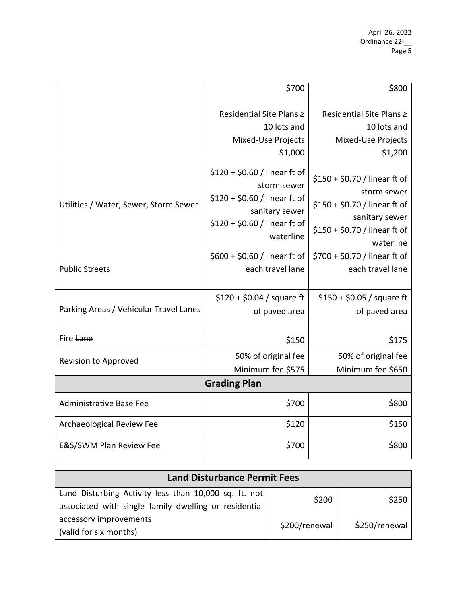|                                        | \$700                                                                                                                                         | \$800                                                                                                                                         |  |
|----------------------------------------|-----------------------------------------------------------------------------------------------------------------------------------------------|-----------------------------------------------------------------------------------------------------------------------------------------------|--|
|                                        | Residential Site Plans ≥<br>10 lots and<br>Mixed-Use Projects<br>\$1,000                                                                      | Residential Site Plans ≥<br>10 lots and<br>Mixed-Use Projects<br>\$1,200                                                                      |  |
| Utilities / Water, Sewer, Storm Sewer  | $$120 + $0.60 /$ linear ft of<br>storm sewer<br>$$120 + $0.60 /$ linear ft of<br>sanitary sewer<br>$$120 + $0.60 /$ linear ft of<br>waterline | $$150 + $0.70 /$ linear ft of<br>storm sewer<br>\$150 + \$0.70 / linear ft of<br>sanitary sewer<br>\$150 + \$0.70 / linear ft of<br>waterline |  |
| <b>Public Streets</b>                  | \$600 + \$0.60 / linear ft of<br>each travel lane                                                                                             | \$700 + \$0.70 / linear ft of<br>each travel lane                                                                                             |  |
| Parking Areas / Vehicular Travel Lanes | $$120 + $0.04 / square ft$<br>of paved area                                                                                                   | $$150 + $0.05 /$ square ft<br>of paved area                                                                                                   |  |
| Fire Lane                              | \$150                                                                                                                                         | \$175                                                                                                                                         |  |
| Revision to Approved                   | 50% of original fee<br>Minimum fee \$575                                                                                                      | 50% of original fee<br>Minimum fee \$650                                                                                                      |  |
| <b>Grading Plan</b>                    |                                                                                                                                               |                                                                                                                                               |  |
| <b>Administrative Base Fee</b>         | \$700                                                                                                                                         | \$800                                                                                                                                         |  |
| Archaeological Review Fee              | \$120                                                                                                                                         | \$150                                                                                                                                         |  |
| E&S/SWM Plan Review Fee                | \$700                                                                                                                                         | \$800                                                                                                                                         |  |

| <b>Land Disturbance Permit Fees</b>                   |               |               |
|-------------------------------------------------------|---------------|---------------|
| Land Disturbing Activity less than 10,000 sq. ft. not | \$200         | \$250         |
| associated with single family dwelling or residential |               |               |
| accessory improvements                                | \$200/renewal | \$250/renewal |
| (valid for six months)                                |               |               |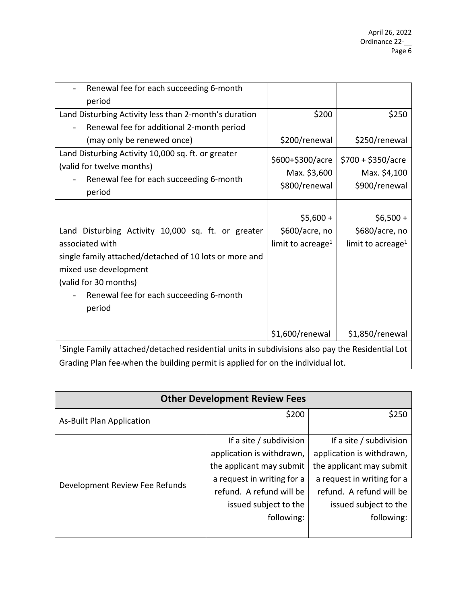| Renewal fee for each succeeding 6-month                                                                                                                                                                                                |                                                               |                                                               |
|----------------------------------------------------------------------------------------------------------------------------------------------------------------------------------------------------------------------------------------|---------------------------------------------------------------|---------------------------------------------------------------|
| period                                                                                                                                                                                                                                 |                                                               |                                                               |
| Land Disturbing Activity less than 2-month's duration                                                                                                                                                                                  | \$200                                                         | \$250                                                         |
| Renewal fee for additional 2-month period                                                                                                                                                                                              |                                                               |                                                               |
| (may only be renewed once)                                                                                                                                                                                                             | \$200/renewal                                                 | \$250/renewal                                                 |
| Land Disturbing Activity 10,000 sq. ft. or greater<br>(valid for twelve months)<br>Renewal fee for each succeeding 6-month<br>period                                                                                                   | \$600+\$300/acre<br>Max. \$3,600<br>\$800/renewal             | $$700 + $350/$ acre<br>Max. \$4,100<br>\$900/renewal          |
|                                                                                                                                                                                                                                        |                                                               |                                                               |
| Land Disturbing Activity 10,000 sq. ft. or greater<br>associated with<br>single family attached/detached of 10 lots or more and<br>mixed use development<br>(valid for 30 months)<br>Renewal fee for each succeeding 6-month<br>period | $$5,600 +$<br>\$600/acre, no<br>limit to acreage <sup>1</sup> | $$6,500 +$<br>\$680/acre, no<br>limit to acreage <sup>1</sup> |
|                                                                                                                                                                                                                                        | \$1,600/renewal                                               | \$1,850/renewal                                               |
| <sup>1</sup> Single Family attached/detached residential units in subdivisions also pay the Residential Lot                                                                                                                            |                                                               |                                                               |
| Grading Plan fee-when the building permit is applied for on the individual lot.                                                                                                                                                        |                                                               |                                                               |

| <b>Other Development Review Fees</b> |                            |                            |  |
|--------------------------------------|----------------------------|----------------------------|--|
| <b>As-Built Plan Application</b>     | \$200                      | \$250                      |  |
|                                      |                            |                            |  |
|                                      | If a site / subdivision    | If a site / subdivision    |  |
|                                      | application is withdrawn,  | application is withdrawn,  |  |
|                                      | the applicant may submit   | the applicant may submit   |  |
| Development Review Fee Refunds       | a request in writing for a | a request in writing for a |  |
|                                      | refund. A refund will be   | refund. A refund will be   |  |
|                                      | issued subject to the      | issued subject to the      |  |
|                                      | following:                 | following:                 |  |
|                                      |                            |                            |  |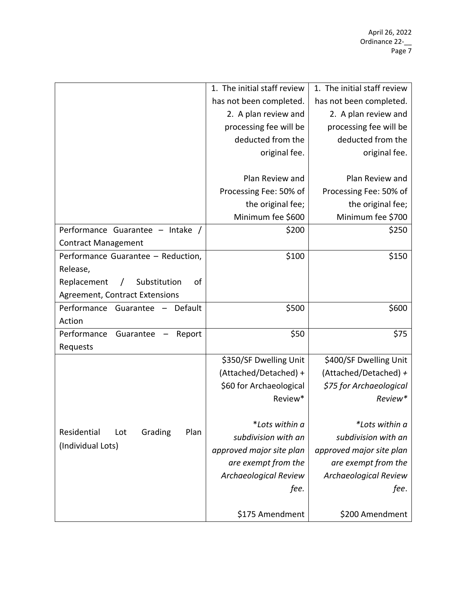|                                                 | 1. The initial staff review  | 1. The initial staff review  |
|-------------------------------------------------|------------------------------|------------------------------|
|                                                 | has not been completed.      | has not been completed.      |
|                                                 | 2. A plan review and         | 2. A plan review and         |
|                                                 | processing fee will be       | processing fee will be       |
|                                                 | deducted from the            | deducted from the            |
|                                                 | original fee.                | original fee.                |
|                                                 |                              |                              |
|                                                 | Plan Review and              | Plan Review and              |
|                                                 | Processing Fee: 50% of       | Processing Fee: 50% of       |
|                                                 | the original fee;            | the original fee;            |
|                                                 | Minimum fee \$600            | Minimum fee \$700            |
| Performance Guarantee - Intake /                | \$200                        | \$250                        |
| <b>Contract Management</b>                      |                              |                              |
| Performance Guarantee - Reduction,              | \$100                        | \$150                        |
| Release,                                        |                              |                              |
| Substitution<br>of<br>Replacement<br>$\sqrt{2}$ |                              |                              |
| <b>Agreement, Contract Extensions</b>           |                              |                              |
| Performance Guarantee - Default                 | \$500                        | \$600                        |
| Action                                          |                              |                              |
| Performance<br>Guarantee<br>Report              | \$50                         | \$75                         |
| Requests                                        |                              |                              |
|                                                 | \$350/SF Dwelling Unit       | \$400/SF Dwelling Unit       |
|                                                 | (Attached/Detached) +        | (Attached/Detached) +        |
|                                                 | \$60 for Archaeological      | \$75 for Archaeological      |
|                                                 | Review*                      | Review*                      |
|                                                 |                              |                              |
| Residential<br>Grading<br>Plan<br>Lot           | *Lots within a               | *Lots within a               |
|                                                 | subdivision with an          | subdivision with an          |
| (Individual Lots)                               | approved major site plan     | approved major site plan     |
|                                                 | are exempt from the          | are exempt from the          |
|                                                 | <b>Archaeological Review</b> | <b>Archaeological Review</b> |
|                                                 | fee.                         | fee.                         |
|                                                 |                              |                              |
|                                                 | \$175 Amendment              | \$200 Amendment              |